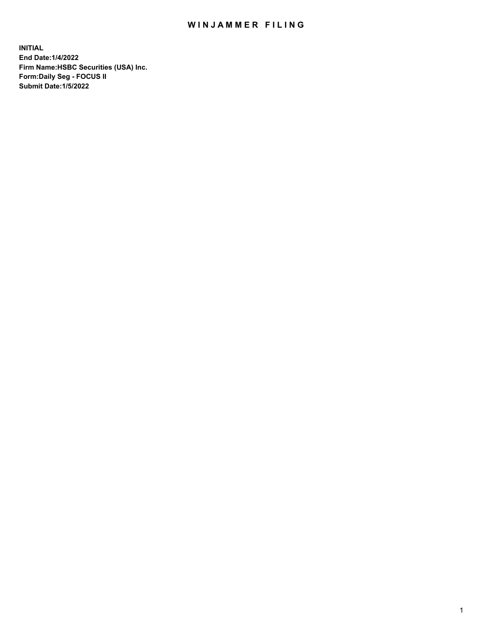## WIN JAMMER FILING

**INITIAL End Date:1/4/2022 Firm Name:HSBC Securities (USA) Inc. Form:Daily Seg - FOCUS II Submit Date:1/5/2022**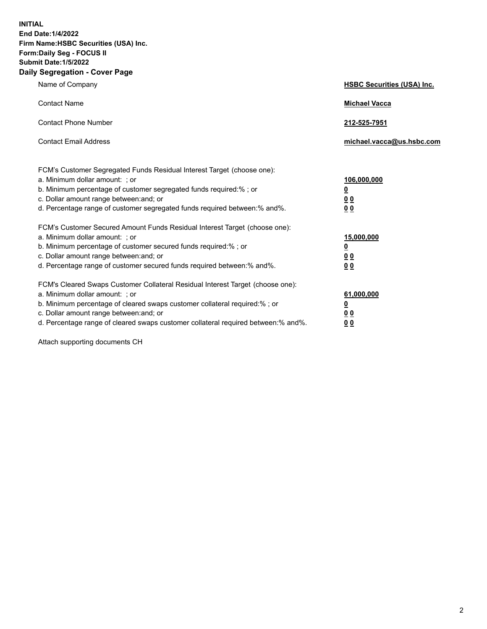**INITIAL End Date:1/4/2022 Firm Name:HSBC Securities (USA) Inc. Form:Daily Seg - FOCUS II Submit Date:1/5/2022 Daily Segregation - Cover Page**

| Name of Company                                                                                                                                                                                                                                                                                                                | <b>HSBC Securities (USA) Inc.</b>               |
|--------------------------------------------------------------------------------------------------------------------------------------------------------------------------------------------------------------------------------------------------------------------------------------------------------------------------------|-------------------------------------------------|
| <b>Contact Name</b>                                                                                                                                                                                                                                                                                                            | <b>Michael Vacca</b>                            |
| <b>Contact Phone Number</b>                                                                                                                                                                                                                                                                                                    | 212-525-7951                                    |
| <b>Contact Email Address</b>                                                                                                                                                                                                                                                                                                   | michael.vacca@us.hsbc.com                       |
| FCM's Customer Segregated Funds Residual Interest Target (choose one):<br>a. Minimum dollar amount: ; or<br>b. Minimum percentage of customer segregated funds required:%; or<br>c. Dollar amount range between: and; or<br>d. Percentage range of customer segregated funds required between:% and%.                          | 106,000,000<br><u>0</u><br>0 <sub>0</sub><br>00 |
| FCM's Customer Secured Amount Funds Residual Interest Target (choose one):<br>a. Minimum dollar amount: ; or<br>b. Minimum percentage of customer secured funds required:%; or<br>c. Dollar amount range between: and; or<br>d. Percentage range of customer secured funds required between:% and%.                            | 15,000,000<br><u>0</u><br>0 <sub>0</sub><br>00  |
| FCM's Cleared Swaps Customer Collateral Residual Interest Target (choose one):<br>a. Minimum dollar amount: ; or<br>b. Minimum percentage of cleared swaps customer collateral required:% ; or<br>c. Dollar amount range between: and; or<br>d. Percentage range of cleared swaps customer collateral required between:% and%. | 61,000,000<br><u>0</u><br><u>00</u><br>00       |

Attach supporting documents CH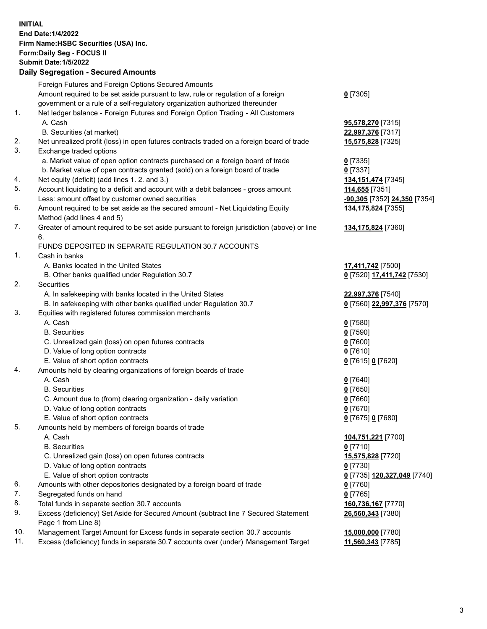**INITIAL End Date:1/4/2022 Firm Name:HSBC Securities (USA) Inc. Form:Daily Seg - FOCUS II Submit Date:1/5/2022 Daily Segregation - Secured Amounts** Foreign Futures and Foreign Options Secured Amounts Amount required to be set aside pursuant to law, rule or regulation of a foreign government or a rule of a self-regulatory organization authorized thereunder **0** [7305] 1. Net ledger balance - Foreign Futures and Foreign Option Trading - All Customers A. Cash **95,578,270** [7315] B. Securities (at market) **22,997,376** [7317] 2. Net unrealized profit (loss) in open futures contracts traded on a foreign board of trade **15,575,828** [7325] 3. Exchange traded options a. Market value of open option contracts purchased on a foreign board of trade **0** [7335] b. Market value of open contracts granted (sold) on a foreign board of trade **0** [7337] 4. Net equity (deficit) (add lines 1. 2. and 3.) **134,151,474** [7345] 5. Account liquidating to a deficit and account with a debit balances - gross amount **114,655** [7351] Less: amount offset by customer owned securities **-90,305** [7352] **24,350** [7354] 6. Amount required to be set aside as the secured amount - Net Liquidating Equity Method (add lines 4 and 5) **134,175,824** [7355] 7. Greater of amount required to be set aside pursuant to foreign jurisdiction (above) or line 6. **134,175,824** [7360] FUNDS DEPOSITED IN SEPARATE REGULATION 30.7 ACCOUNTS 1. Cash in banks A. Banks located in the United States **17,411,742** [7500] B. Other banks qualified under Regulation 30.7 **0** [7520] **17,411,742** [7530] 2. Securities A. In safekeeping with banks located in the United States **22,997,376** [7540] B. In safekeeping with other banks qualified under Regulation 30.7 **0** [7560] **22,997,376** [7570] 3. Equities with registered futures commission merchants A. Cash **0** [7580] B. Securities **0** [7590] C. Unrealized gain (loss) on open futures contracts **0** [7600] D. Value of long option contracts **0** [7610] E. Value of short option contracts **0** [7615] **0** [7620] 4. Amounts held by clearing organizations of foreign boards of trade A. Cash **0** [7640] B. Securities **0** [7650] C. Amount due to (from) clearing organization - daily variation **0** [7660] D. Value of long option contracts **0** [7670] E. Value of short option contracts **0** [7675] **0** [7680] 5. Amounts held by members of foreign boards of trade A. Cash **104,751,221** [7700] B. Securities **0** [7710] C. Unrealized gain (loss) on open futures contracts **15,575,828** [7720] D. Value of long option contracts **0** [7730] E. Value of short option contracts **0** [7735] **120,327,049** [7740] 6. Amounts with other depositories designated by a foreign board of trade **0** [7760] 7. Segregated funds on hand **0** [7765] 8. Total funds in separate section 30.7 accounts **160,736,167** [7770] 9. Excess (deficiency) Set Aside for Secured Amount (subtract line 7 Secured Statement Page 1 from Line 8) **26,560,343** [7380] 10. Management Target Amount for Excess funds in separate section 30.7 accounts **15,000,000** [7780] 11. Excess (deficiency) funds in separate 30.7 accounts over (under) Management Target **11,560,343** [7785]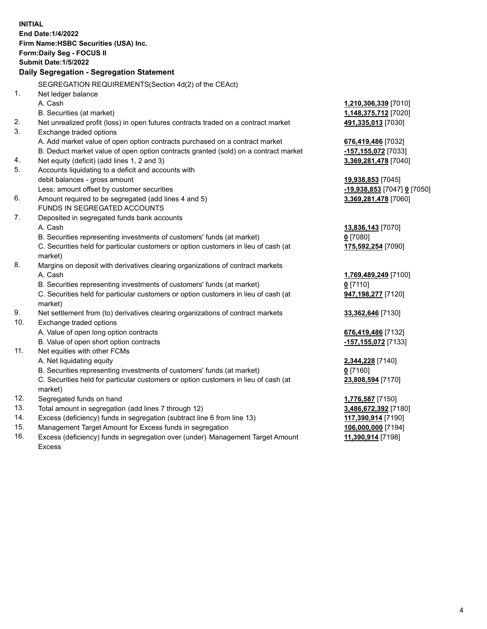|     | <b>INITIAL</b>                                                                                 |                                           |
|-----|------------------------------------------------------------------------------------------------|-------------------------------------------|
|     | End Date: 1/4/2022                                                                             |                                           |
|     | Firm Name: HSBC Securities (USA) Inc.                                                          |                                           |
|     | <b>Form:Daily Seg - FOCUS II</b>                                                               |                                           |
|     | <b>Submit Date: 1/5/2022</b>                                                                   |                                           |
|     | Daily Segregation - Segregation Statement                                                      |                                           |
|     | SEGREGATION REQUIREMENTS(Section 4d(2) of the CEAct)                                           |                                           |
| 1.  | Net ledger balance                                                                             |                                           |
|     | A. Cash                                                                                        | 1,210,306,339 [7010]                      |
|     | B. Securities (at market)                                                                      | 1,148,375,712 [7020]                      |
| 2.  | Net unrealized profit (loss) in open futures contracts traded on a contract market             | 491,335,013 [7030]                        |
| 3.  | Exchange traded options                                                                        |                                           |
|     | A. Add market value of open option contracts purchased on a contract market                    | 676,419,486 [7032]                        |
|     | B. Deduct market value of open option contracts granted (sold) on a contract market            | -157,155,072 [7033]                       |
| 4.  | Net equity (deficit) (add lines 1, 2 and 3)                                                    | 3,369,281,478 [7040]                      |
| 5.  | Accounts liquidating to a deficit and accounts with                                            |                                           |
|     | debit balances - gross amount                                                                  | 19,938,853 [7045]                         |
|     | Less: amount offset by customer securities                                                     | <u>-19,938,853</u> [7047] <u>0</u> [7050] |
| 6.  | Amount required to be segregated (add lines 4 and 5)                                           | 3,369,281,478 [7060]                      |
|     | FUNDS IN SEGREGATED ACCOUNTS                                                                   |                                           |
| 7.  | Deposited in segregated funds bank accounts                                                    |                                           |
|     | A. Cash                                                                                        | 13,836,143 [7070]                         |
|     | B. Securities representing investments of customers' funds (at market)                         | $0$ [7080]                                |
|     | C. Securities held for particular customers or option customers in lieu of cash (at<br>market) | 175,592,254 [7090]                        |
| 8.  | Margins on deposit with derivatives clearing organizations of contract markets                 |                                           |
|     | A. Cash                                                                                        | 1,769,489,249 [7100]                      |
|     | B. Securities representing investments of customers' funds (at market)                         | $0$ [7110]                                |
|     | C. Securities held for particular customers or option customers in lieu of cash (at            | 947,198,277 [7120]                        |
|     | market)                                                                                        |                                           |
| 9.  | Net settlement from (to) derivatives clearing organizations of contract markets                | 33,362,646 [7130]                         |
| 10. | Exchange traded options                                                                        |                                           |
|     | A. Value of open long option contracts                                                         | 676,419,486 [7132]                        |
|     | B. Value of open short option contracts                                                        | -157, 155, 072 [7133]                     |
| 11. | Net equities with other FCMs                                                                   |                                           |
|     | A. Net liquidating equity                                                                      | 2,344,228 [7140]                          |
|     | B. Securities representing investments of customers' funds (at market)                         | $0$ [7160]                                |
|     | C. Securities held for particular customers or option customers in lieu of cash (at            | 23,808,594 [7170]                         |
|     | market)                                                                                        |                                           |
| 12. | Segregated funds on hand                                                                       | <b>1,776,587</b> [7150]                   |
| 13. | Total amount in segregation (add lines 7 through 12)                                           | 3,486,672,392 [7180]                      |
| 14. | Excess (deficiency) funds in segregation (subtract line 6 from line 13)                        | 117,390,914 [7190]                        |
| 15. | Management Target Amount for Excess funds in segregation                                       | 106,000,000 [7194]                        |

16. Excess (deficiency) funds in segregation over (under) Management Target Amount Excess

**11,390,914** [7198]